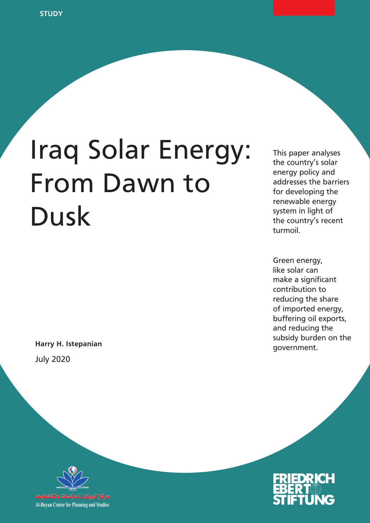# Iraq Solar Energy: From Dawn to Dusk

government. **Harry H. Istepanian** July 2020

This paper analyses the country's solar energy policy and addresses the barriers for developing the renewable energy system in light of the country's recent turmoil.

Green energy, like solar can make a significant contribution to reducing the share of imported energy, buffering oil exports, and reducing the subsidy burden on the



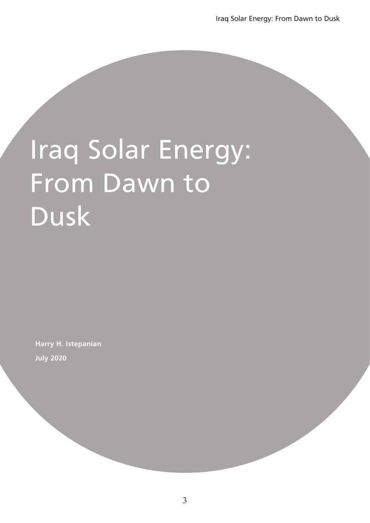# Iraq Solar Energy: From Dawn to Dusk

**Harry H. Istepanian July 2020**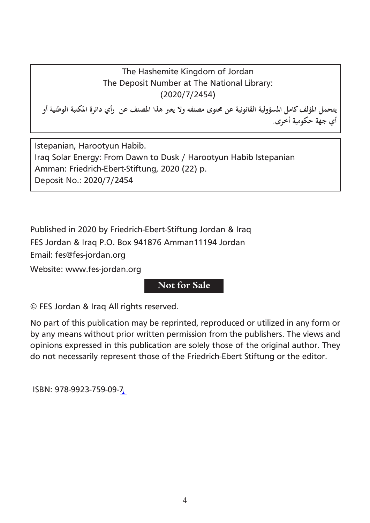The Hashemite Kingdom of Jordan The Deposit Number at The National Library: (2020/7/2454)

**يتحمل املؤلف كامل املسؤولية القانونية عن حمتوى مصنفه وال يعرب هذا املصنف عن رأي دائرة املكتبة الوطنية أو أي جهة حكومية أخرى.**

Istepanian, Harootyun Habib. Iraq Solar Energy: From Dawn to Dusk / Harootyun Habib Istepanian Amman: Friedrich-Ebert-Stiftung, 2020 (22) p. Deposit No.: 2020/7/2454

Published in 2020 by Friedrich-Ebert-Stiftung Jordan & Iraq FES Jordan & Iraq P.O. Box 941876 Amman11194 Jordan Email: fes@fes-jordan.org Website: www.fes-jordan.org

# **Not for Sale**

© FES Jordan & Iraq All rights reserved.

No part of this publication may be reprinted, reproduced or utilized in any form or by any means without prior written permission from the publishers. The views and opinions expressed in this publication are solely those of the original author. They do not necessarily represent those of the Friedrich-Ebert Stiftung or the editor.

ISBN: 978-9923-759-09-7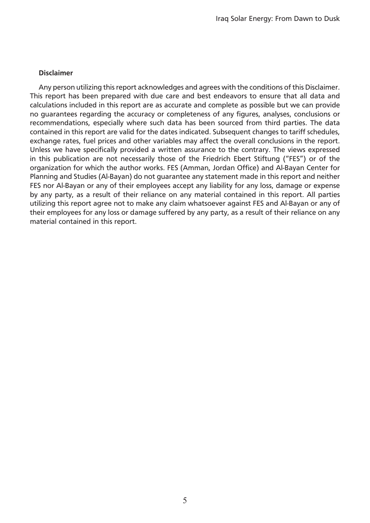#### **Disclaimer**

Any person utilizing this report acknowledges and agrees with the conditions of this Disclaimer. This report has been prepared with due care and best endeavors to ensure that all data and calculations included in this report are as accurate and complete as possible but we can provide no guarantees regarding the accuracy or completeness of any figures, analyses, conclusions or recommendations, especially where such data has been sourced from third parties. The data contained in this report are valid for the dates indicated. Subsequent changes to tariff schedules, exchange rates, fuel prices and other variables may affect the overall conclusions in the report. Unless we have specifically provided a written assurance to the contrary. The views expressed in this publication are not necessarily those of the Friedrich Ebert Stiftung ("FES") or of the organization for which the author works. FES (Amman, Jordan Office) and Al-Bayan Center for Planning and Studies (Al-Bayan) do not guarantee any statement made in this report and neither FES nor Al-Bayan or any of their employees accept any liability for any loss, damage or expense by any party, as a result of their reliance on any material contained in this report. All parties utilizing this report agree not to make any claim whatsoever against FES and Al-Bayan or any of their employees for any loss or damage suffered by any party, as a result of their reliance on any material contained in this report.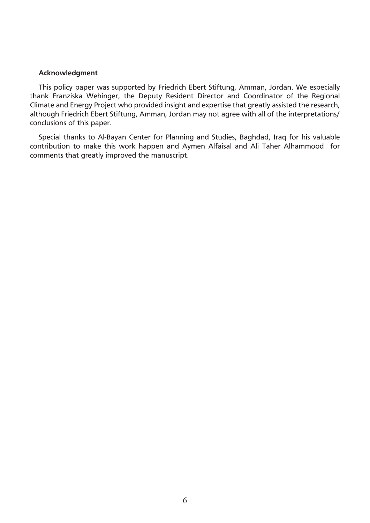#### **Acknowledgment**

This policy paper was supported by Friedrich Ebert Stiftung, Amman, Jordan. We especially thank Franziska Wehinger, the Deputy Resident Director and Coordinator of the Regional Climate and Energy Project who provided insight and expertise that greatly assisted the research, although Friedrich Ebert Stiftung, Amman, Jordan may not agree with all of the interpretations/ conclusions of this paper.

Special thanks to Al-Bayan Center for Planning and Studies, Baghdad, Iraq for his valuable contribution to make this work happen and Aymen Alfaisal and Ali Taher Alhammood for comments that greatly improved the manuscript.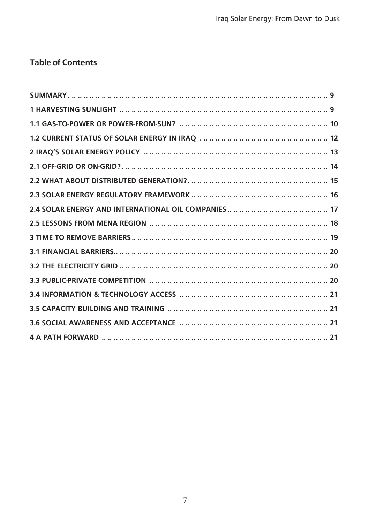# **Table of Contents**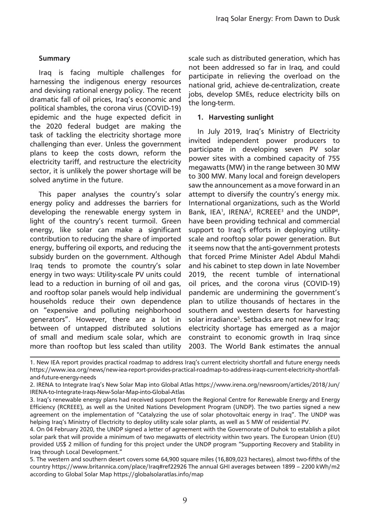# **Summary**

Iraq is facing multiple challenges for harnessing the indigenous energy resources and devising rational energy policy. The recent dramatic fall of oil prices, Iraq's economic and political shambles, the corona virus (COVID-19) epidemic and the huge expected deficit in the 2020 federal budget are making the task of tackling the electricity shortage more challenging than ever. Unless the government plans to keep the costs down, reform the electricity tariff, and restructure the electricity sector, it is unlikely the power shortage will be solved anytime in the future.

This paper analyses the country's solar energy policy and addresses the barriers for developing the renewable energy system in light of the country's recent turmoil. Green energy, like solar can make a significant contribution to reducing the share of imported energy, buffering oil exports, and reducing the subsidy burden on the government. Although Iraq tends to promote the country's solar energy in two ways: Utility-scale PV units could lead to a reduction in burning of oil and gas, and rooftop solar panels would help individual households reduce their own dependence on "expensive and polluting neighborhood generators". However, there are a lot in between of untapped distributed solutions of small and medium scale solar, which are more than rooftop but less scaled than utility

scale such as distributed generation, which has not been addressed so far in Iraq, and could participate in relieving the overload on the national grid, achieve de-centralization, create jobs, develop SMEs, reduce electricity bills on the long-term.

#### **1. Harvesting sunlight**

In July 2019, Iraq's Ministry of Electricity invited independent power producers to participate in developing seven PV solar power sites with a combined capacity of 755 megawatts (MW) in the range between 30 MW to 300 MW. Many local and foreign developers saw the announcement as a move forward in an attempt to diversify the country's energy mix. International organizations, such as the World Bank, IEA<sup>1</sup>, IRENA<sup>2</sup>, RCREEE<sup>3</sup> and the UNDP<sup>4</sup>, have been providing technical and commercial support to Iraq's efforts in deploying utilityscale and rooftop solar power generation. But it seems now that the anti-government protests that forced Prime Minister Adel Abdul Mahdi and his cabinet to step down in late November 2019, the recent tumble of international oil prices, and the corona virus (COVID-19) pandemic are undermining the government's plan to utilize thousands of hectares in the southern and western deserts for harvesting solar irradiance<sup>5</sup>. Setbacks are not new for Iraq; electricity shortage has emerged as a major constraint to economic growth in Iraq since 2003. The World Bank estimates the annual

<sup>1.</sup> New IEA report provides practical roadmap to address Iraq's current electricity shortfall and future energy needs https://www.iea.org/news/new-iea-report-provides-practical-roadmap-to-address-iraqs-current-electricity-shortfalland-future-energy-needs

<sup>2.</sup> IRENA to Integrate Iraq's New Solar Map into Global Atlas https://www.irena.org/newsroom/articles/2018/Jun/ IRENA-to-Integrate-Iraqs-New-Solar-Map-into-Global-Atlas

<sup>3.</sup> Iraq's renewable energy plans had received support from the Regional Centre for Renewable Energy and Energy Efficiency (RCREEE), as well as the United Nations Development Program (UNDP). The two parties signed a new agreement on the implementation of "Catalyzing the use of solar photovoltaic energy in Iraq". The UNDP was helping Iraq's Ministry of Electricity to deploy utility scale solar plants, as well as 5 MW of residential PV.

<sup>4.</sup> On 04 February 2020, the UNDP signed a letter of agreement with the Governorate of Duhok to establish a pilot solar park that will provide a minimum of two megawatts of electricity within two years. The European Union (EU) provided US\$ 2 million of funding for this project under the UNDP program "Supporting Recovery and Stability in Iraq through Local Development."

<sup>5.</sup> The western and southern desert covers some 64,900 square miles (16,809,023 hectares), almost two-fifths of the country https://www.britannica.com/place/Iraq#ref22926 The annual GHI averages between 1899 – 2200 kWh/m2 according to Global Solar Map https://globalsolaratlas.info/map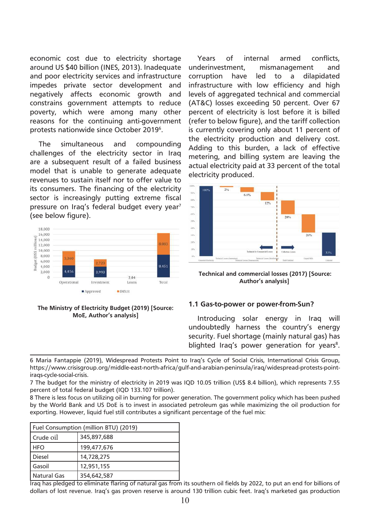economic cost due to electricity shortage around US \$40 billion (INES, 2013). Inadequate and poor electricity services and infrastructure impedes private sector development and negatively affects economic growth and constrains government attempts to reduce poverty, which were among many other reasons for the continuing anti-government protests nationwide since October 2019<sup>6</sup>.

The simultaneous and compounding challenges of the electricity sector in Iraq are a subsequent result of a failed business model that is unable to generate adequate revenues to sustain itself nor to offer value to its consumers. The financing of the electricity sector is increasingly putting extreme fiscal pressure on Iraq's federal budget every year<sup>7</sup> (see below figure).



#### **The Ministry of Electricity Budget (2019) [Source: MoE, Author's analysis]**

Years of internal armed conflicts, underinvestment, mismanagement and corruption have led to a dilapidated infrastructure with low efficiency and high levels of aggregated technical and commercial (AT&C) losses exceeding 50 percent. Over 67 percent of electricity is lost before it is billed (refer to below figure), and the tariff collection is currently covering only about 11 percent of the electricity production and delivery cost. Adding to this burden, a lack of effective metering, and billing system are leaving the actual electricity paid at 33 percent of the total electricity produced.



 **Technical and commercial losses (2017) [Source: Author's analysis]**

#### **1.1 Gas-to-power or power-from-Sun?**

Introducing solar energy in Iraq will undoubtedly harness the country's energy security. Fuel shortage (mainly natural gas) has blighted Iraq's power generation for years<sup>8</sup>.

6 Maria Fantappie (2019), Widespread Protests Point to Iraq's Cycle of Social Crisis, International Crisis Group, https://www.crisisgroup.org/middle-east-north-africa/gulf-and-arabian-peninsula/iraq/widespread-protests-pointiraqs-cycle-social-crisis.

7 The budget for the ministry of electricity in 2019 was IQD 10.05 trillion (US\$ 8.4 billion), which represents 7.55 percent of total federal budget (IQD 133.107 trillion).

8 There is less focus on utilizing oil in burning for power generation. The government policy which has been pushed by the World Bank and US DoE is to invest in associated petroleum gas while maximizing the oil production for exporting. However, liquid fuel still contributes a significant percentage of the fuel mix:

| <b>Fuel Consumption (million BTU) (2019)</b> |             |  |  |
|----------------------------------------------|-------------|--|--|
| Crude 0il                                    | 345,897,688 |  |  |
| <b>HFO</b>                                   | 199,477,676 |  |  |
| <b>Diesel</b>                                | 14,728,275  |  |  |
| Gasoil                                       | 12,951,155  |  |  |
| <b>Natural Gas</b>                           | 354,642,587 |  |  |

Iraq has pledged to eliminate flaring of natural gas from its southern oil fields by 2022, to put an end for billions of dollars of lost revenue. Iraq's gas proven reserve is around 130 trillion cubic feet. Iraq's marketed gas production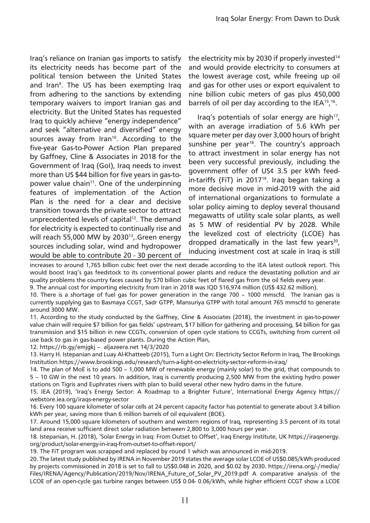Iraq's reliance on Iranian gas imports to satisfy its electricity needs has become part of the political tension between the United States and Iran<sup>9</sup>. The US has been exempting Iraq from adhering to the sanctions by extending temporary waivers to import Iranian gas and electricity. But the United States has requested Iraq to quickly achieve "energy independence" and seek "alternative and diversified" energy sources away from Iran<sup>10</sup>. According to the five-year Gas-to-Power Action Plan prepared by Gaffney, Cline & Associates in 2018 for the Government of Iraq (GoI), Iraq needs to invest more than US \$44 billion for five years in gas-topower value chain<sup>11</sup>. One of the underpinning features of implementation of the Action Plan is the need for a clear and decisive transition towards the private sector to attract unprecedented levels of capital<sup>12</sup>. The demand for electricity is expected to continually rise and will reach 55,000 MW by 2030<sup>13</sup>,.Green energy sources including solar, wind and hydropower would be able to contribute 20 - 30 percent of the electricity mix by 2030 if properly invested $14$ and would provide electricity to consumers at the lowest average cost, while freeing up oil and gas for other uses or export equivalent to nine billion cubic meters of gas plus 450,000 barrels of oil per day according to the IEA<sup>15</sup>,<sup>16</sup>.

Iraq's potentials of solar energy are high<sup>17</sup>, with an average irradiation of 5.6 kWh per square meter per day over 3,000 hours of bright sunshine per year<sup>18</sup>. The country's approach to attract investment in solar energy has not been very successful previously, including the government offer of US¢ 3.5 per kWh feedin-tariffs (FiT) in 2017<sup>19</sup>. Iraq began taking a more decisive move in mid-2019 with the aid of international organizations to formulate a solar policy aiming to deploy several thousand megawatts of utility scale solar plants, as well as 5 MW of residential PV by 2028. While the levelized cost of electricity (LCOE) has dropped dramatically in the last few years<sup>20</sup>, inducing investment cost at scale in Iraq is still

increases to around 1,765 billion cubic feet over the next decade according to the IEA latest outlook report. This would boost Iraq's gas feedstock to its conventional power plants and reduce the devastating pollution and air quality problems the country faces caused by 570 billion cubic feet of flared gas from the oil fields every year.

9. The annual cost for importing electricity from Iran in 2018 was IQD 516,974 million (US\$ 432.62 million). 10. There is a shortage of fuel gas for power generation in the range 700 – 1000 mmscfd. The Iranian gas is

currently supplying gas to Basmaya CCGT, Sadr GTPP, Mansuriya GTPP with total amount 765 mmscfd to generate around 3000 MW.

11. According to the study conducted by the Gaffney, Cline & Associates (2018), the investment in gas-to-power value chain will require \$7 billion for gas fields' upstream, \$17 billion for gathering and processing, \$4 billion for gas transmission and \$15 billion in new CCGTs, conversion of open cycle stations to CCGTs, switching from current oil use back to gas in gas-based power plants. During the Action Plan,

12. https://rb.gy/emjgkj – aljazeera.net 14/3/2020

13. Harry H. Istepanian and Luay Al-Khatteeb (2015), Turn a Light On: Electricity Sector Reform in Iraq, The Brookings Institution https://www.brookings.edu/research/turn-a-light-on-electricity-sector-reform-in-iraq/

14. The plan of MoE is to add 500 – 1,000 MW of renewable energy (mainly solar) to the grid, that compounds to 5 – 10 GW in the next 10 years. In addition, Iraq is currently producing 2,500 MW from the existing hydro power stations on Tigris and Euphrates rivers with plan to build several other new hydro dams in the future.

15. IEA (2019), 'Iraq's Energy Sector: A Roadmap to a Brighter Future', International Energy Agency https:// webstore.iea.org/iraqs-energy-sector

16. Every 100 square kilometer of solar cells at 24 percent capacity factor has potential to generate about 3.4 billion kWh per year, saving more than 6 million barrels of oil equivalent (BOE).

17. Around 15,000 square kilometers of southern and western regions of Iraq, representing 3.5 percent of its total land area receive sufficient direct solar radiation between 2,800 to 3,000 hours per year.

18. Istepanian, H. (2018), 'Solar Energy in Iraq: From Outset to Offset', Iraq Energy Institute, UK https://iraqenergy. org/product/solar-energy-in-iraq-from-outset-to-offset-report/

19. The FiT program was scrapped and replaced by round 1 which was announced in mid-2019.

20. The latest study published by IRENA in November 2019 states the average solar LCOE of US\$0.085/kWh produced by projects commissioned in 2018 is set to fall to US\$0.048 in 2020, and \$0.02 by 2030. https://irena.org/-/media/ Files/IRENA/Agency/Publication/2019/Nov/IRENA\_Future\_of\_Solar\_PV\_2019.pdf A comparative analysis of the LCOE of an open-cycle gas turbine ranges between US\$ 0.04- 0.06/kWh, while higher efficient CCGT show a LCOE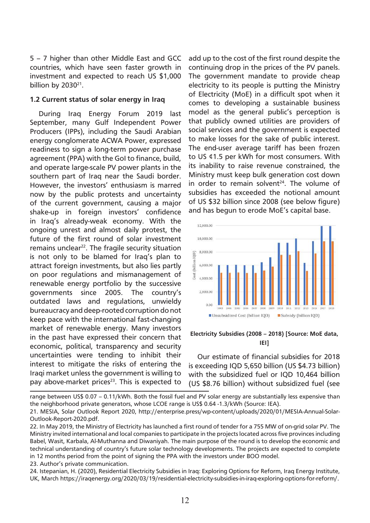5 – 7 higher than other Middle East and GCC countries, which have seen faster growth in investment and expected to reach US \$1,000 billion by  $2030^{21}$ .

#### **1.2 Current status of solar energy in Iraq**

During Iraq Energy Forum 2019 last September, many Gulf Independent Power Producers (IPPs), including the Saudi Arabian energy conglomerate ACWA Power, expressed readiness to sign a long-term power purchase agreement (PPA) with the GoI to finance, build, and operate large-scale PV power plants in the southern part of Iraq near the Saudi border. However, the investors' enthusiasm is marred now by the public protests and uncertainty of the current government, causing a major shake-up in foreign investors' confidence in Iraq's already-weak economy. With the ongoing unrest and almost daily protest, the future of the first round of solar investment remains unclear<sup>22</sup>. The fragile security situation is not only to be blamed for Iraq's plan to attract foreign investments, but also lies partly on poor regulations and mismanagement of renewable energy portfolio by the successive governments since 2005. The country's outdated laws and regulations, unwieldy bureaucracy and deep-rooted corruption do not keep pace with the international fast-changing market of renewable energy. Many investors in the past have expressed their concern that economic, political, transparency and security uncertainties were tending to inhibit their interest to mitigate the risks of entering the Iraqi market unless the government is willing to pay above-market prices<sup>23</sup>. This is expected to

add up to the cost of the first round despite the continuing drop in the prices of the PV panels. The government mandate to provide cheap electricity to its people is putting the Ministry of Electricity (MoE) in a difficult spot when it comes to developing a sustainable business model as the general public's perception is that publicly owned utilities are providers of social services and the government is expected to make losses for the sake of public interest. The end-user average tariff has been frozen to US ¢1.5 per kWh for most consumers. With its inability to raise revenue constrained, the Ministry must keep bulk generation cost down in order to remain solvent $24$ . The volume of subsidies has exceeded the notional amount of US \$32 billion since 2008 (see below figure) and has begun to erode MoE's capital base.



#### **Electricity Subsidies (2008 – 2018) [Source: MoE data, IEI]**

Our estimate of financial subsidies for 2018 is exceeding IQD 5,650 billion (US \$4.73 billion) with the subsidized fuel or IQD 10,464 billion (US \$8.76 billion) without subsidized fuel (see

range between US\$ 0.07 – 0.11/kWh. Both the fossil fuel and PV solar energy are substantially less expensive than the neighborhood private generators, whose LCOE range is US\$ 0.64 -1.3/kWh (Source: IEA).

21. MESIA, Solar Outlook Report 2020, http://enterprise.press/wp-content/uploads/2020/01/MESIA-Annual-Solar-Outlook-Report-2020.pdf.

22. In May 2019, the Ministry of Electricity has launched a first round of tender for a 755 MW of on-grid solar PV. The Ministry invited international and local companies to participate in the projects located across five provinces including Babel, Wasit, Karbala, Al-Muthanna and Diwaniyah. The main purpose of the round is to develop the economic and technical understanding of country's future solar technology developments. The projects are expected to complete in 12 months period from the point of signing the PPA with the investors under BOO model.

23. Author's private communication.

24. Istepanian, H. (2020), Residential Electricity Subsidies in Iraq: Exploring Options for Reform, Iraq Energy Institute, UK, March https://iraqenergy.org/2020/03/19/residential-electricity-subsidies-in-iraq-exploring-options-for-reform/.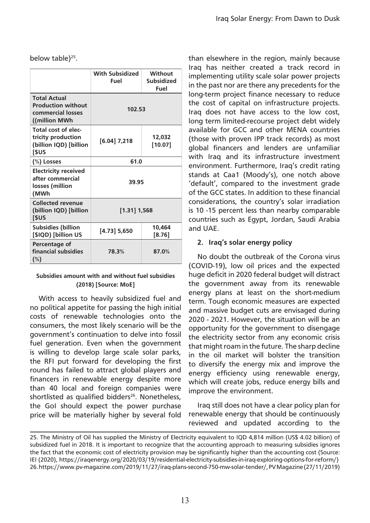below table)<sup>25</sup>.

|                                                                                        | With Subsidized<br>Fuel | Without<br><b>Subsidized</b><br>Fuel |
|----------------------------------------------------------------------------------------|-------------------------|--------------------------------------|
| <b>Total Actual</b><br><b>Production without</b><br>commercial losses<br>((million MWh | 102.53                  |                                      |
| Total cost of elec-<br>tricity production<br>(billion IQD) [billion<br>[\$US           | $[6.04]$ 7,218          | 12,032<br>[10.07]                    |
| (%) Losses                                                                             | 61.0                    |                                      |
| <b>Electricity received</b><br>after commercial<br>losses (million<br>(MWh             | 39.95                   |                                      |
| <b>Collected revenue</b><br>(billion IQD) [billion<br>[\$US                            | $[1.31]$ 1,568          |                                      |
| <b>Subsidies (billion</b><br>[\$IQD) [billion US                                       | [4.73] 5,650            | 10.464<br>$[8.76]$                   |
| Percentage of<br>financial subsidies<br>$(\%)$                                         | 78.3%                   | 87.0%                                |

#### **Subsidies amount with and without fuel subsidies (2018) [Source: MoE]**

With access to heavily subsidized fuel and no political appetite for passing the high initial costs of renewable technologies onto the consumers, the most likely scenario will be the government's continuation to delve into fossil fuel generation. Even when the government is willing to develop large scale solar parks, the RFI put forward for developing the first round has failed to attract global players and financers in renewable energy despite more than 40 local and foreign companies were shortlisted as qualified bidders<sup>26</sup>. Nonetheless, the GoI should expect the power purchase price will be materially higher by several fold than elsewhere in the region, mainly because Iraq has neither created a track record in implementing utility scale solar power projects in the past nor are there any precedents for the long-term project finance necessary to reduce the cost of capital on infrastructure projects. Iraq does not have access to the low cost, long term limited-recourse project debt widely available for GCC and other MENA countries (those with proven IPP track records) as most global financers and lenders are unfamiliar with Iraq and its infrastructure investment environment. Furthermore, Iraq's credit rating stands at Caa1 (Moody's), one notch above 'default', compared to the investment grade of the GCC states. In addition to these financial considerations, the country's solar irradiation is 10 -15 percent less than nearby comparable countries such as Egypt, Jordan, Saudi Arabia and UAE.

# **2. Iraq's solar energy policy**

No doubt the outbreak of the Corona virus (COVID-19), low oil prices and the expected huge deficit in 2020 federal budget will distract the government away from its renewable energy plans at least on the short-medium term. Tough economic measures are expected and massive budget cuts are envisaged during 2020 - 2021. However, the situation will be an opportunity for the government to disengage the electricity sector from any economic crisis that might roam in the future. The sharp decline in the oil market will bolster the transition to diversify the energy mix and improve the energy efficiency using renewable energy, which will create jobs, reduce energy bills and improve the environment.

Iraq still does not have a clear policy plan for renewable energy that should be continuously reviewed and updated according to the

<sup>25.</sup> The Ministry of Oil has supplied the Ministry of Electricity equivalent to IQD 4,814 million (US\$ 4.02 billion) of subsidized fuel in 2018. It is important to recognize that the accounting approach to measuring subsidies ignores the fact that the economic cost of electricity provision may be significantly higher than the accounting cost (Source: IEI (2020), https://iraqenergy.org/2020/03/19/residential-electricity-subsidies-in-iraq-exploring-options-for-reform/) 26. https://www.pv-magazine.com/2019/11/27/iraq-plans-second-750-mw-solar-tender/, PV Magazine (27/11/2019)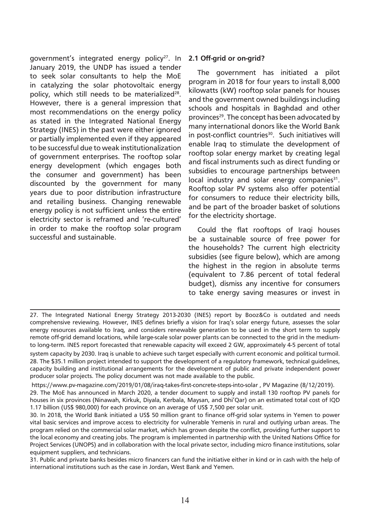government's integrated energy policy<sup>27</sup>. In January 2019, the UNDP has issued a tender to seek solar consultants to help the MoE in catalyzing the solar photovoltaic energy policy, which still needs to be materialized $28$ . However, there is a general impression that most recommendations on the energy policy as stated in the Integrated National Energy Strategy (INES) in the past were either ignored or partially implemented even if they appeared to be successful due to weak institutionalization of government enterprises. The rooftop solar energy development (which engages both the consumer and government) has been discounted by the government for many years due to poor distribution infrastructure and retailing business. Changing renewable energy policy is not sufficient unless the entire electricity sector is reframed and 're-cultured' in order to make the rooftop solar program successful and sustainable.

#### **2.1 Off-grid or on-grid?**

The government has initiated a pilot program in 2018 for four years to install 8,000 kilowatts (kW) rooftop solar panels for houses and the government owned buildings including schools and hospitals in Baghdad and other provinces<sup>29</sup>. The concept has been advocated by many international donors like the World Bank in post-conflict countries<sup>30</sup>. Such initiatives will enable Iraq to stimulate the development of rooftop solar energy market by creating legal and fiscal instruments such as direct funding or subsidies to encourage partnerships between local industry and solar energy companies<sup>31</sup>. Rooftop solar PV systems also offer potential for consumers to reduce their electricity bills, and be part of the broader basket of solutions for the electricity shortage.

Could the flat rooftops of Iraqi houses be a sustainable source of free power for the households? The current high electricity subsidies (see figure below), which are among the highest in the region in absolute terms (equivalent to 7.86 percent of total federal budget), dismiss any incentive for consumers to take energy saving measures or invest in

 https://www.pv-magazine.com/2019/01/08/iraq-takes-first-concrete-steps-into-solar , PV Magazine (8/12/2019). 29. The MoE has announced in March 2020, a tender document to supply and install 130 rooftop PV panels for houses in six provinces (Ninawah, Kirkuk, Diyala, Kerbala, Maysan, and Dhi'Qar) on an estimated total cost of IQD 1.17 billion (US\$ 980,000) for each province on an average of US\$ 7,500 per solar unit.

30. In 2018, the World Bank initiated a US\$ 50 million grant to finance off-grid solar systems in Yemen to power vital basic services and improve access to electricity for vulnerable Yemenis in rural and outlying urban areas. The program relied on the commercial solar market, which has grown despite the conflict, providing further support to the local economy and creating jobs. The program is implemented in partnership with the United Nations Office for Project Services (UNOPS) and in collaboration with the local private sector, including micro finance institutions, solar equipment suppliers, and technicians.

31. Public and private banks besides micro financers can fund the initiative either in kind or in cash with the help of international institutions such as the case in Jordan, West Bank and Yemen.

<sup>27.</sup> The Integrated National Energy Strategy 2013-2030 (INES) report by Booz&Co is outdated and needs comprehensive reviewing. However, INES defines briefly a vision for Iraq's solar energy future, assesses the solar energy resources available to Iraq, and considers renewable generation to be used in the short term to supply remote off-grid demand locations, while large-scale solar power plants can be connected to the grid in the mediumto long-term. INES report forecasted that renewable capacity will exceed 2 GW, approximately 4-5 percent of total system capacity by 2030. Iraq is unable to achieve such target especially with current economic and political turmoil.

<sup>28.</sup> The \$35.1 million project intended to support the development of a regulatory framework, technical guidelines, capacity building and institutional arrangements for the development of public and private independent power producer solar projects. The policy document was not made available to the public.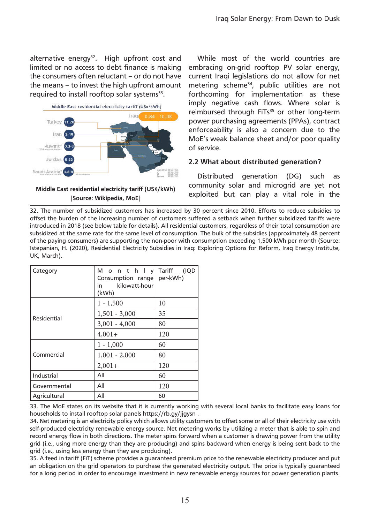alternative energy<sup>32</sup>. High upfront cost and limited or no access to debt finance is making the consumers often reluctant – or do not have the means – to invest the high upfront amount required to install rooftop solar systems<sup>33</sup>.



#### **Middle East residential electricity tariff (US¢/kWh) [Source: Wikipedia, MoE]**

While most of the world countries are embracing on-grid rooftop PV solar energy, current Iraqi legislations do not allow for net metering scheme<sup>34</sup>, public utilities are not forthcoming for implementation as these imply negative cash flows. Where solar is reimbursed through FiTs<sup>35</sup> or other long-term power purchasing agreements (PPAs), contract enforceability is also a concern due to the MoE's weak balance sheet and/or poor quality of service.

# **2.2 What about distributed generation?**

Distributed generation (DG) such as community solar and microgrid are yet not exploited but can play a vital role in the

32. The number of subsidized customers has increased by 30 percent since 2010. Efforts to reduce subsidies to offset the burden of the increasing number of customers suffered a setback when further subsidized tariffs were introduced in 2018 (see below table for details). All residential customers, regardless of their total consumption are subsidized at the same rate for the same level of consumption. The bulk of the subsidies (approximately 48 percent of the paying consumers) are supporting the non-poor with consumption exceeding 1,500 kWh per month (Source: Istepanian, H. (2020), Residential Electricity Subsidies in Iraq: Exploring Options for Reform, Iraq Energy Institute, UK, March).

| Category     | Monthly<br>Consumption range<br>kilowatt-hour<br>in.<br>(kWh) | Tariff<br>(IQD<br>per-kWh) |
|--------------|---------------------------------------------------------------|----------------------------|
|              | $1 - 1,500$                                                   | 10                         |
| Residential  | $1,501 - 3,000$                                               | 35                         |
|              | $3,001 - 4,000$                                               | 80                         |
|              | $4,001+$                                                      | 120                        |
|              | $1 - 1,000$                                                   | 60                         |
| Commercial   | $1,001 - 2,000$                                               | 80                         |
|              | $2,001+$                                                      | 120                        |
| Industrial   | All                                                           | 60                         |
| Governmental | All                                                           | 120                        |
| Agricultural | All                                                           | 60                         |

33. The MoE states on its website that it is currently working with several local banks to facilitate easy loans for households to install rooftop solar panels https://rb.gy/jjgysn .

34. Net metering is an electricity policy which allows utility customers to offset some or all of their electricity use with self-produced electricity renewable energy source. Net metering works by utilizing a meter that is able to spin and record energy flow in both directions. The meter spins forward when a customer is drawing power from the utility grid (i.e., using more energy than they are producing) and spins backward when energy is being sent back to the grid (i.e., using less energy than they are producing).

35. A feed in tariff (FiT) scheme provides a guaranteed premium price to the renewable electricity producer and put an obligation on the grid operators to purchase the generated electricity output. The price is typically guaranteed for a long period in order to encourage investment in new renewable energy sources for power generation plants.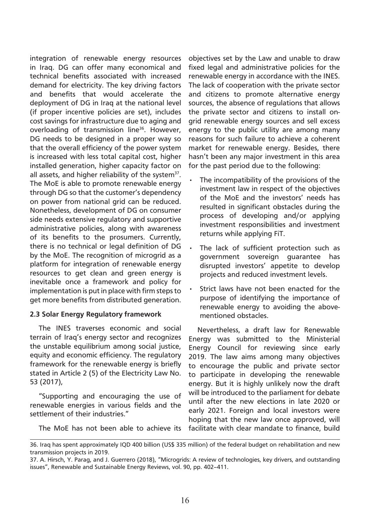integration of renewable energy resources in Iraq. DG can offer many economical and technical benefits associated with increased demand for electricity. The key driving factors and benefits that would accelerate the deployment of DG in Iraq at the national level (if proper incentive policies are set), includes cost savings for infrastructure due to aging and overloading of transmission line<sup>36</sup>. However, DG needs to be designed in a proper way so that the overall efficiency of the power system is increased with less total capital cost, higher installed generation, higher capacity factor on all assets, and higher reliability of the system $37$ . The MoE is able to promote renewable energy through DG so that the customer's dependency on power from national grid can be reduced. Nonetheless, development of DG on consumer side needs extensive regulatory and supportive administrative policies, along with awareness of its benefits to the prosumers. Currently, there is no technical or legal definition of DG by the MoE. The recognition of microgrid as a platform for integration of renewable energy resources to get clean and green energy is inevitable once a framework and policy for implementation is put in place with firm steps to get more benefits from distributed generation.

# **2.3 Solar Energy Regulatory framework**

The INES traverses economic and social terrain of Iraq's energy sector and recognizes the unstable equilibrium among social justice, equity and economic efficiency. The regulatory framework for the renewable energy is briefly stated in Article 2 (5) of the Electricity Law No. 53 (2017),

"Supporting and encouraging the use of renewable energies in various fields and the settlement of their industries."

objectives set by the Law and unable to draw fixed legal and administrative policies for the renewable energy in accordance with the INES. The lack of cooperation with the private sector and citizens to promote alternative energy sources, the absence of regulations that allows the private sector and citizens to install ongrid renewable energy sources and sell excess energy to the public utility are among many reasons for such failure to achieve a coherent market for renewable energy. Besides, there hasn't been any major investment in this area for the past period due to the following:

- The incompatibility of the provisions of the investment law in respect of the objectives of the MoE and the investors' needs has resulted in significant obstacles during the process of developing and/or applying investment responsibilities and investment returns while applying FiT.
- The lack of sufficient protection such as government sovereign guarantee has disrupted investors' appetite to develop projects and reduced investment levels.
- Strict laws have not been enacted for the purpose of identifying the importance of renewable energy to avoiding the abovementioned obstacles.

Nevertheless, a draft law for Renewable Energy was submitted to the Ministerial Energy Council for reviewing since early 2019. The law aims among many objectives to encourage the public and private sector to participate in developing the renewable energy. But it is highly unlikely now the draft will be introduced to the parliament for debate until after the new elections in late 2020 or early 2021. Foreign and local investors were hoping that the new law once approved, will facilitate with clear mandate to finance, build

The MoE has not been able to achieve its

<sup>36.</sup> Iraq has spent approximately IQD 400 billion (US\$ 335 million) of the federal budget on rehabilitation and new transmission projects in 2019.

<sup>37.</sup> A. Hirsch, Y. Parag, and J. Guerrero (2018), "Microgrids: A review of technologies, key drivers, and outstanding issues", Renewable and Sustainable Energy Reviews, vol. 90, pp. 402–411.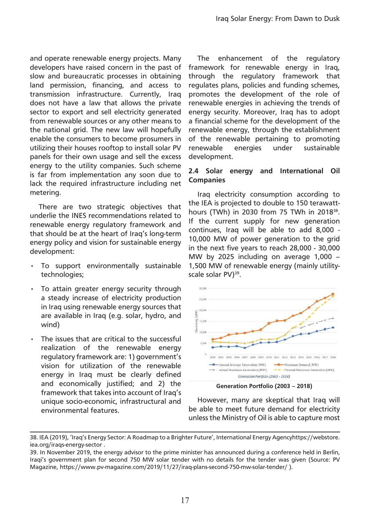and operate renewable energy projects. Many developers have raised concern in the past of slow and bureaucratic processes in obtaining land permission, financing, and access to transmission infrastructure. Currently, Iraq does not have a law that allows the private sector to export and sell electricity generated from renewable sources or any other means to the national grid. The new law will hopefully enable the consumers to become prosumers in utilizing their houses rooftop to install solar PV panels for their own usage and sell the excess energy to the utility companies. Such scheme is far from implementation any soon due to lack the required infrastructure including net metering.

There are two strategic objectives that underlie the INES recommendations related to renewable energy regulatory framework and that should be at the heart of Iraq's long-term energy policy and vision for sustainable energy development:

- To support environmentally sustainable technologies;
- To attain greater energy security through a steady increase of electricity production in Iraq using renewable energy sources that are available in Iraq (e.g. solar, hydro, and wind)
- The issues that are critical to the successful realization of the renewable energy regulatory framework are: 1) government's vision for utilization of the renewable energy in Iraq must be clearly defined and economically justified; and 2) the framework that takes into account of Iraq's unique socio-economic, infrastructural and environmental features.

The enhancement of the regulatory framework for renewable energy in Iraq, through the regulatory framework that regulates plans, policies and funding schemes, promotes the development of the role of renewable energies in achieving the trends of energy security. Moreover, Iraq has to adopt a financial scheme for the development of the renewable energy, through the establishment of the renewable pertaining to promoting renewable energies under sustainable development.

# **2.4 Solar energy and International Oil Companies**

Iraq electricity consumption according to the IEA is projected to double to 150 terawatthours (TWh) in 2030 from 75 TWh in 2018<sup>38</sup>. If the current supply for new generation continues, Iraq will be able to add 8,000 - 10,000 MW of power generation to the grid in the next five years to reach 28,000 - 30,000 MW by 2025 including on average 1,000 – 1,500 MW of renewable energy (mainly utilityscale solar PV)<sup>39</sup>.



**Generation Portfolio (2003 – 2018)**

However, many are skeptical that Iraq will be able to meet future demand for electricity unless the Ministry of Oil is able to capture most

<sup>38.</sup> IEA (2019), 'Iraq's Energy Sector: A Roadmap to a Brighter Future', International Energy Agencyhttps://webstore. iea.org/iraqs-energy-sector .

<sup>39.</sup> In November 2019, the energy advisor to the prime minister has announced during a conference held in Berlin, Iraqi's government plan for second 750 MW solar tender with no details for the tender was given (Source: PV Magazine, https://www.pv-magazine.com/2019/11/27/iraq-plans-second-750-mw-solar-tender/ ).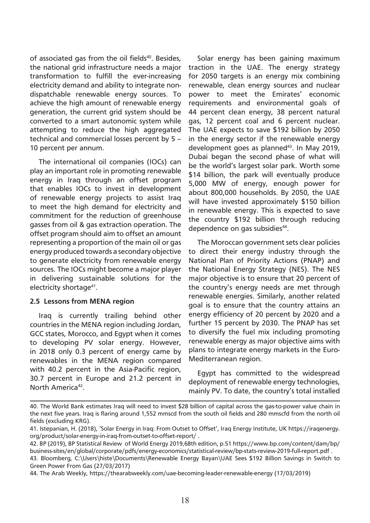of associated gas from the oil fields<sup>40</sup>. Besides, the national grid infrastructure needs a major transformation to fulfill the ever-increasing electricity demand and ability to integrate nondispatchable renewable energy sources. To achieve the high amount of renewable energy generation, the current grid system should be converted to a smart autonomic system while attempting to reduce the high aggregated technical and commercial losses percent by 5 – 10 percent per annum.

The international oil companies (IOCs) can play an important role in promoting renewable energy in Iraq through an offset program that enables IOCs to invest in development of renewable energy projects to assist Iraq to meet the high demand for electricity and commitment for the reduction of greenhouse gasses from oil & gas extraction operation. The offset program should aim to offset an amount representing a proportion of the main oil or gas energy produced towards a secondary objective to generate electricity from renewable energy sources. The IOCs might become a major player in delivering sustainable solutions for the electricity shortage<sup>41</sup>.

#### **2.5 Lessons from MENA region**

Iraq is currently trailing behind other countries in the MENA region including Jordan, GCC states, Morocco, and Egypt when it comes to developing PV solar energy. However, in 2018 only 0.3 percent of energy came by renewables in the MENA region compared with 40.2 percent in the Asia-Pacific region, 30.7 percent in Europe and 21.2 percent in North America<sup>42</sup>.

Solar energy has been gaining maximum traction in the UAE. The energy strategy for 2050 targets is an energy mix combining renewable, clean energy sources and nuclear power to meet the Emirates' economic requirements and environmental goals of 44 percent clean energy, 38 percent natural gas, 12 percent coal and 6 percent nuclear. The UAE expects to save \$192 billion by 2050 in the energy sector if the renewable energy development goes as planned<sup>43</sup>. In Mav 2019, Dubai began the second phase of what will be the world's largest solar park. Worth some \$14 billion, the park will eventually produce 5,000 MW of energy, enough power for about 800,000 households. By 2050, the UAE will have invested approximately \$150 billion in renewable energy. This is expected to save the country \$192 billion through reducing dependence on gas subsidies<sup>44</sup>.

The Moroccan government sets clear policies to direct their energy industry through the National Plan of Priority Actions (PNAP) and the National Energy Strategy (NES). The NES major objective is to ensure that 20 percent of the country's energy needs are met through renewable energies. Similarly, another related goal is to ensure that the country attains an energy efficiency of 20 percent by 2020 and a further 15 percent by 2030. The PNAP has set to diversify the fuel mix including promoting renewable energy as major objective aims with plans to integrate energy markets in the Euro-Mediterranean region.

Egypt has committed to the widespread deployment of renewable energy technologies, mainly PV. To date, the country's total installed

<sup>40.</sup> The World Bank estimates Iraq will need to invest \$28 billion of capital across the gas-to-power value chain in the next five years. Iraq is flaring around 1,552 mmscd from the south oil fields and 280 mmscfd from the north oil fields (excluding KRG).

<sup>41.</sup> Istepanian, H. (2018), 'Solar Energy in Iraq: From Outset to Offset', Iraq Energy Institute, UK https://iraqenergy. org/product/solar-energy-in-iraq-from-outset-to-offset-report/ .

<sup>42.</sup> BP (2019), BP Statistical Review of World Energy 2019,68th edition, p.51 https://www.bp.com/content/dam/bp/ business-sites/en/global/corporate/pdfs/energy-economics/statistical-review/bp-stats-review-2019-full-report.pdf .

<sup>43.</sup> Bloomberg, C:\Users\histe\Documents\Renewable Energy Bayan\UAE Sees \$192 Billion Savings in Switch to Green Power From Gas (27/03/2017)

<sup>44.</sup> The Arab Weekly, https://thearabweekly.com/uae-becoming-leader-renewable-energy (17/03/2019)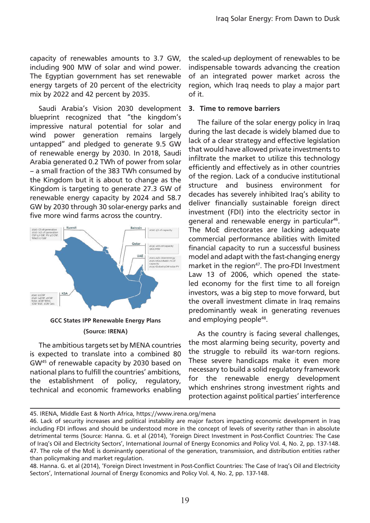capacity of renewables amounts to 3.7 GW, including 900 MW of solar and wind power. The Egyptian government has set renewable energy targets of 20 percent of the electricity mix by 2022 and 42 percent by 2035.

Saudi Arabia's Vision 2030 development blueprint recognized that "the kingdom's impressive natural potential for solar and wind power generation remains largely untapped" and pledged to generate 9.5 GW of renewable energy by 2030. In 2018, Saudi Arabia generated 0.2 TWh of power from solar – a small fraction of the 383 TWh consumed by the Kingdom but it is about to change as the Kingdom is targeting to generate 27.3 GW of renewable energy capacity by 2024 and 58.7 GW by 2030 through 30 solar-energy parks and five more wind farms across the country.



#### **(Source: IRENA)**

The ambitious targets set by MENA countries is expected to translate into a combined 80 GW45 of renewable capacity by 2030 based on national plans to fulfill the countries' ambitions, the establishment of policy, regulatory, technical and economic frameworks enabling

the scaled-up deployment of renewables to be indispensable towards advancing the creation of an integrated power market across the region, which Iraq needs to play a major part of it.

#### **3. Time to remove barriers**

The failure of the solar energy policy in Iraq during the last decade is widely blamed due to lack of a clear strategy and effective legislation that would have allowed private investments to infiltrate the market to utilize this technology efficiently and effectively as in other countries of the region. Lack of a conducive institutional structure and business environment for decades has severely inhibited Iraq's ability to deliver financially sustainable foreign direct investment (FDI) into the electricity sector in general and renewable energy in particular<sup>46</sup>. The MoE directorates are lacking adequate commercial performance abilities with limited financial capacity to run a successful business model and adapt with the fast-changing energy market in the region<sup>47</sup>. The pro-FDI Investment Law 13 of 2006, which opened the stateled economy for the first time to all foreign investors, was a big step to move forward, but the overall investment climate in Iraq remains predominantly weak in generating revenues and employing people<sup>48</sup>.

As the country is facing several challenges, the most alarming being security, poverty and the struggle to rebuild its war-torn regions. These severe handicaps make it even more necessary to build a solid regulatory framework for the renewable energy development which enshrines strong investment rights and protection against political parties' interference

<sup>45.</sup> IRENA, Middle East & North Africa, https://www.irena.org/mena

<sup>46.</sup> Lack of security increases and political instability are major factors impacting economic development in Iraq including FDI inflows and should be understood more in the concept of levels of severity rather than in absolute detrimental terms (Source: Hanna. G. et al (2014), 'Foreign Direct Investment in Post-Conflict Countries: The Case of Iraq's Oil and Electricity Sectors', International Journal of Energy Economics and Policy Vol. 4, No. 2, pp. 137-148. 47. The role of the MoE is dominantly operational of the generation, transmission, and distribution entities rather than policymaking and market regulation.

<sup>48.</sup> Hanna. G. et al (2014), 'Foreign Direct Investment in Post-Conflict Countries: The Case of Iraq's Oil and Electricity Sectors', International Journal of Energy Economics and Policy Vol. 4, No. 2, pp. 137-148.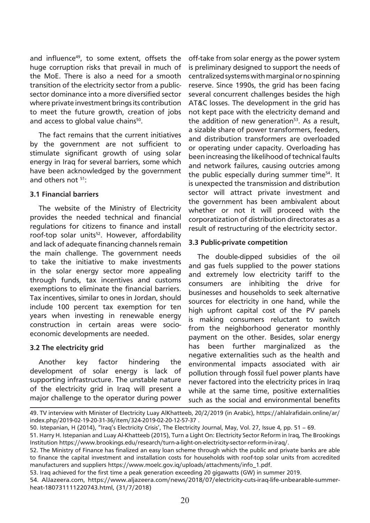and influence<sup>49</sup>, to some extent, offsets the huge corruption risks that prevail in much of the MoE. There is also a need for a smooth transition of the electricity sector from a publicsector dominance into a more diversified sector where private investment brings its contribution to meet the future growth, creation of jobs and access to global value chains<sup>50</sup>.

The fact remains that the current initiatives by the government are not sufficient to stimulate significant growth of using solar energy in Iraq for several barriers, some which have been acknowledged by the government and others not <sup>51</sup>:

#### **3.1 Financial barriers**

The website of the Ministry of Electricity provides the needed technical and financial regulations for citizens to finance and install roof-top solar units<sup>52</sup>. However, affordability and lack of adequate financing channels remain the main challenge. The government needs to take the initiative to make investments in the solar energy sector more appealing through funds, tax incentives and customs exemptions to eliminate the financial barriers. Tax incentives, similar to ones in Jordan, should include 100 percent tax exemption for ten years when investing in renewable energy construction in certain areas were socioeconomic developments are needed.

# **3.2 The electricity grid**

Another key factor hindering the development of solar energy is lack of supporting infrastructure. The unstable nature of the electricity grid in Iraq will present a major challenge to the operator during power off-take from solar energy as the power system is preliminary designed to support the needs of centralized systems with marginal or no spinning reserve. Since 1990s, the grid has been facing several concurrent challenges besides the high AT&C losses. The development in the grid has not kept pace with the electricity demand and the addition of new generation<sup>53</sup>. As a result, a sizable share of power transformers, feeders, and distribution transformers are overloaded or operating under capacity. Overloading has been increasing the likelihood of technical faults and network failures, causing outcries among the public especially during summer time<sup>54</sup>. It is unexpected the transmission and distribution sector will attract private investment and the government has been ambivalent about whether or not it will proceed with the corporatization of distribution directorates as a result of restructuring of the electricity sector.

# **3.3 Public-private competition**

The double-dipped subsidies of the oil and gas fuels supplied to the power stations and extremely low electricity tariff to the consumers are inhibiting the drive for businesses and households to seek alternative sources for electricity in one hand, while the high upfront capital cost of the PV panels is making consumers reluctant to switch from the neighborhood generator monthly payment on the other. Besides, solar energy has been further marginalized as the negative externalities such as the health and environmental impacts associated with air pollution through fossil fuel power plants have never factored into the electricity prices in Iraq while at the same time, positive externalities such as the social and environmental benefits

53. Iraq achieved for the first time a peak generation exceeding 20 gigawatts (GW) in summer 2019.

<sup>49.</sup> TV interview with Minister of Electricity Luay AlKhatteeb, 20/2/2019 (in Arabic), https://ahlalrafidain.online/ar/ index.php/2019-02-19-20-31-36/item/324-2019-02-20-12-57-37 .

<sup>50.</sup> Istepanian, H (2014), "Iraq's Electricity Crisis', The Electricity Journal, May, Vol. 27, Issue 4, pp. 51 – 69.

<sup>51.</sup> Harry H. Istepanian and Luay Al-Khatteeb (2015), Turn a Light On: Electricity Sector Reform in Iraq, The Brookings Institution https://www.brookings.edu/research/turn-a-light-on-electricity-sector-reform-in-iraq/.

<sup>52.</sup> The Ministry of Finance has finalized an easy loan scheme through which the public and private banks are able to finance the capital investment and installation costs for households with roof-top solar units from accredited manufacturers and suppliers https://www.moelc.gov.iq/uploads/attachments/info\_1.pdf.

<sup>54.</sup> AlJazeera.com, https://www.aljazeera.com/news/2018/07/electricity-cuts-iraq-life-unbearable-summerheat-180731111220743.html, (31/7/2018)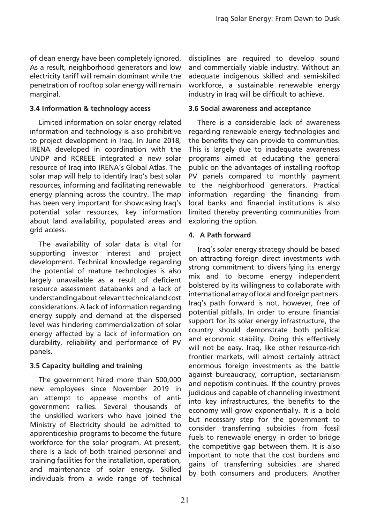of clean energy have been completely ignored. As a result, neighborhood generators and low electricity tariff will remain dominant while the penetration of rooftop solar energy will remain marginal.

### **3.4 Information & technology access**

Limited information on solar energy related information and technology is also prohibitive to project development in Iraq. In June 2018, IRENA developed in coordination with the UNDP and RCREEE integrated a new solar resource of Iraq into IRENA's Global Atlas. The solar map will help to identify Iraq's best solar resources, informing and facilitating renewable energy planning across the country. The map has been very important for showcasing Iraq's potential solar resources, key information about land availability, populated areas and grid access.

The availability of solar data is vital for supporting investor interest and project development. Technical knowledge regarding the potential of mature technologies is also largely unavailable as a result of deficient resource assessment databanks and a lack of understanding about relevant technical and cost considerations. A lack of information regarding energy supply and demand at the dispersed level was hindering commercialization of solar energy affected by a lack of information on durability, reliability and performance of PV panels.

# **3.5 Capacity building and training**

The government hired more than 500,000 new employees since November 2019 in an attempt to appease months of antigovernment rallies. Several thousands of the unskilled workers who have joined the Ministry of Electricity should be admitted to apprenticeship programs to become the future workforce for the solar program. At present, there is a lack of both trained personnel and training facilities for the installation, operation, and maintenance of solar energy. Skilled individuals from a wide range of technical

disciplines are required to develop sound and commercially viable industry. Without an adequate indigenous skilled and semi-skilled workforce, a sustainable renewable energy industry in Iraq will be difficult to achieve.

#### **3.6 Social awareness and acceptance**

There is a considerable lack of awareness regarding renewable energy technologies and the benefits they can provide to communities. This is largely due to inadequate awareness programs aimed at educating the general public on the advantages of installing rooftop PV panels compared to monthly payment to the neighborhood generators. Practical information regarding the financing from local banks and financial institutions is also limited thereby preventing communities from exploring the option.

#### **4. A Path forward**

Iraq's solar energy strategy should be based on attracting foreign direct investments with strong commitment to diversifying its energy mix and to become energy independent bolstered by its willingness to collaborate with international array of local and foreign partners. Iraq's path forward is not, however, free of potential pitfalls. In order to ensure financial support for its solar energy infrastructure, the country should demonstrate both political and economic stability. Doing this effectively will not be easy. Iraq, like other resource-rich frontier markets, will almost certainly attract enormous foreign investments as the battle against bureaucracy, corruption, sectarianism and nepotism continues. If the country proves judicious and capable of channeling investment into key infrastructures, the benefits to the economy will grow exponentially. It is a bold but necessary step for the government to consider transferring subsidies from fossil fuels to renewable energy in order to bridge the competitive gap between them. It is also important to note that the cost burdens and gains of transferring subsidies are shared by both consumers and producers. Another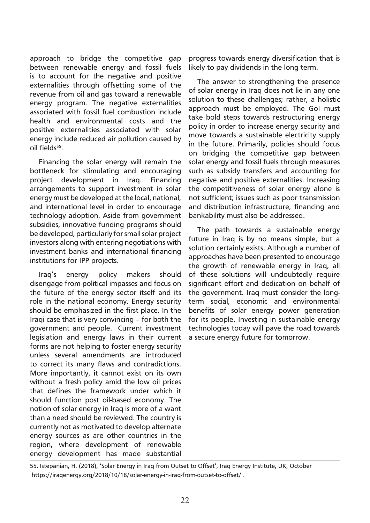approach to bridge the competitive gap between renewable energy and fossil fuels is to account for the negative and positive externalities through offsetting some of the revenue from oil and gas toward a renewable energy program. The negative externalities associated with fossil fuel combustion include health and environmental costs and the positive externalities associated with solar energy include reduced air pollution caused by oil fields<sup>55</sup>.

Financing the solar energy will remain the bottleneck for stimulating and encouraging project development in Iraq. Financing arrangements to support investment in solar energy must be developed at the local, national, and international level in order to encourage technology adoption. Aside from government subsidies, innovative funding programs should be developed, particularly for small solar project investors along with entering negotiations with investment banks and international financing institutions for IPP projects.

Iraq's energy policy makers should disengage from political impasses and focus on the future of the energy sector itself and its role in the national economy. Energy security should be emphasized in the first place. In the Iraqi case that is very convincing – for both the government and people. Current investment legislation and energy laws in their current forms are not helping to foster energy security unless several amendments are introduced to correct its many flaws and contradictions. More importantly, it cannot exist on its own without a fresh policy amid the low oil prices that defines the framework under which it should function post oil-based economy. The notion of solar energy in Iraq is more of a want than a need should be reviewed. The country is currently not as motivated to develop alternate energy sources as are other countries in the region, where development of renewable energy development has made substantial progress towards energy diversification that is likely to pay dividends in the long term.

The answer to strengthening the presence of solar energy in Iraq does not lie in any one solution to these challenges; rather, a holistic approach must be employed. The GoI must take bold steps towards restructuring energy policy in order to increase energy security and move towards a sustainable electricity supply in the future. Primarily, policies should focus on bridging the competitive gap between solar energy and fossil fuels through measures such as subsidy transfers and accounting for negative and positive externalities. Increasing the competitiveness of solar energy alone is not sufficient; issues such as poor transmission and distribution infrastructure, financing and bankability must also be addressed.

The path towards a sustainable energy future in Iraq is by no means simple, but a solution certainly exists. Although a number of approaches have been presented to encourage the growth of renewable energy in Iraq, all of these solutions will undoubtedly require significant effort and dedication on behalf of the government. Iraq must consider the longterm social, economic and environmental benefits of solar energy power generation for its people. Investing in sustainable energy technologies today will pave the road towards a secure energy future for tomorrow.

55. Istepanian, H. (2018), 'Solar Energy in Iraq from Outset to Offset', Iraq Energy Institute, UK, October https://iraqenergy.org/2018/10/18/solar-energy-in-iraq-from-outset-to-offset/ .